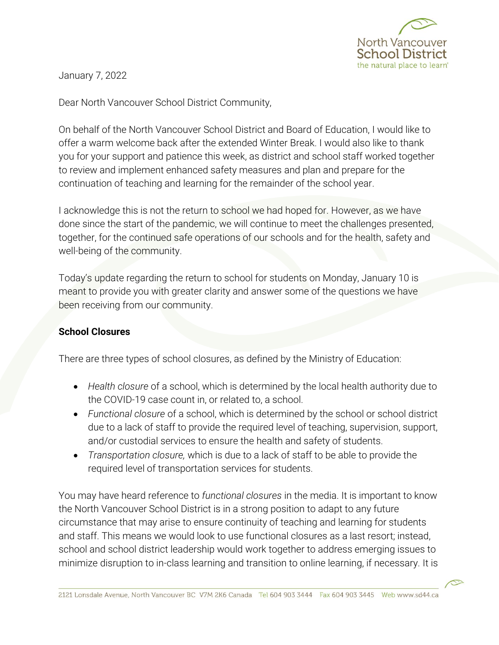

January 7, 2022

Dear North Vancouver School District Community,

On behalf of the North Vancouver School District and Board of Education, I would like to offer a warm welcome back after the extended Winter Break. I would also like to thank you for your support and patience this week, as district and school staff worked together to review and implement enhanced safety measures and plan and prepare for the continuation of teaching and learning for the remainder of the school year.

I acknowledge this is not the return to school we had hoped for. However, as we have done since the start of the pandemic, we will continue to meet the challenges presented, together, for the continued safe operations of our schools and for the health, safety and well-being of the community.

Today's update regarding the return to school for students on Monday, January 10 is meant to provide you with greater clarity and answer some of the questions we have been receiving from our community.

## **School Closures**

There are three types of school closures, as defined by the Ministry of Education:

- *Health closure* of a school, which is determined by the local health authority due to the COVID-19 case count in, or related to, a school.
- *Functional closure* of a school, which is determined by the school or school district due to a lack of staff to provide the required level of teaching, supervision, support, and/or custodial services to ensure the health and safety of students.
- *Transportation closure,* which is due to a lack of staff to be able to provide the required level of transportation services for students.

You may have heard reference to *functional closures* in the media. It is important to know the North Vancouver School District is in a strong position to adapt to any future circumstance that may arise to ensure continuity of teaching and learning for students and staff. This means we would look to use functional closures as a last resort; instead, school and school district leadership would work together to address emerging issues to minimize disruption to in-class learning and transition to online learning, if necessary. It is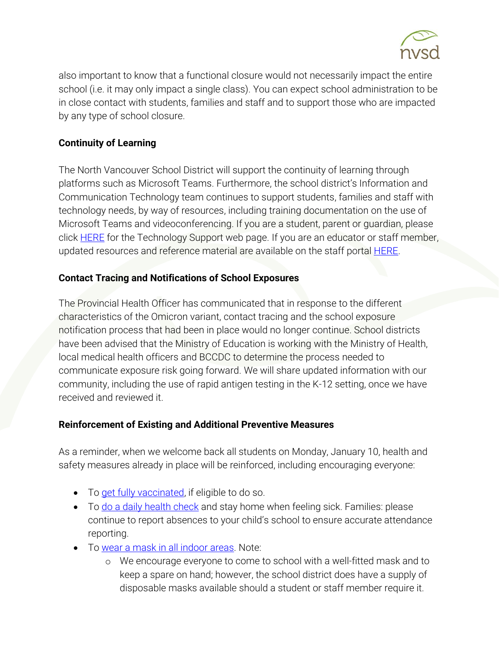

also important to know that a functional closure would not necessarily impact the entire school (i.e. it may only impact a single class). You can expect school administration to be in close contact with students, families and staff and to support those who are impacted by any type of school closure.

## **Continuity of Learning**

The North Vancouver School District will support the continuity of learning through platforms such as Microsoft Teams. Furthermore, the school district's Information and Communication Technology team continues to support students, families and staff with technology needs, by way of resources, including training documentation on the use of Microsoft Teams and videoconferencing. If you are a student, parent or guardian, please click [HERE](https://www.sd44.ca/parents/techservicesandresources/tech_support/Pages/default.aspx#/=) for the Technology Support web page. If you are an educator or staff member, updated resources and reference material are available on the staff portal **HERE**.

## **Contact Tracing and Notifications of School Exposures**

The Provincial Health Officer has communicated that in response to the different characteristics of the Omicron variant, contact tracing and the school exposure notification process that had been in place would no longer continue. School districts have been advised that the Ministry of Education is working with the Ministry of Health, local medical health officers and BCCDC to determine the process needed to communicate exposure risk going forward. We will share updated information with our community, including the use of rapid antigen testing in the K-12 setting, once we have received and reviewed it.

## **Reinforcement of Existing and Additional Preventive Measures**

As a reminder, when we welcome back all students on Monday, January 10, health and safety measures already in place will be reinforced, including encouraging everyone:

- To [get fully vaccinated,](https://www2.gov.bc.ca/gov/content/covid-19/vaccine/register) if eligible to do so.
- To [do a daily health check](https://www.sd44.ca/COVID-19/dailyhealthcheck/Pages/default.aspx#/=) and stay home when feeling sick. Families: please continue to report absences to your child's school to ensure accurate attendance reporting.
- To wear a mask [in all indoor areas.](https://www2.gov.bc.ca/gov/content/covid-19/info/restrictions#masks) Note:
	- o We encourage everyone to come to school with a well-fitted mask and to keep a spare on hand; however, the school district does have a supply of disposable masks available should a student or staff member require it.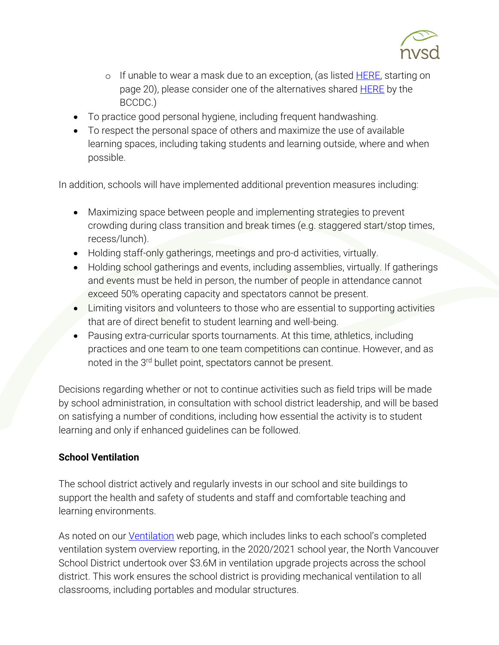

- o If unable to wear a mask due to an exception, (as listed **HERE**, starting on page 20), please consider one of the alternatives shared **HERE** by the BCCDC.)
- To practice good personal hygiene, including frequent handwashing.
- To respect the personal space of others and maximize the use of available learning spaces, including taking students and learning outside, where and when possible.

In addition, schools will have implemented additional prevention measures including:

- Maximizing space between people and implementing strategies to prevent crowding during class transition and break times (e.g. staggered start/stop times, recess/lunch).
- Holding staff-only gatherings, meetings and pro-d activities, virtually.
- Holding school gatherings and events, including assemblies, virtually. If gatherings and events must be held in person, the number of people in attendance cannot exceed 50% operating capacity and spectators cannot be present.
- Limiting visitors and volunteers to those who are essential to supporting activities that are of direct benefit to student learning and well-being.
- Pausing extra-curricular sports tournaments. At this time, athletics, including practices and one team to one team competitions can continue. However, and as noted in the 3<sup>rd</sup> bullet point, spectators cannot be present.

Decisions regarding whether or not to continue activities such as field trips will be made by school administration, in consultation with school district leadership, and will be based on satisfying a number of conditions, including how essential the activity is to student learning and only if enhanced guidelines can be followed.

## **School Ventilation**

The school district actively and regularly invests in our school and site buildings to support the health and safety of students and staff and comfortable teaching and learning environments.

As noted on our *Ventilation* web page, which includes links to each school's completed ventilation system overview reporting, in the 2020/2021 school year, the North Vancouver School District undertook over \$3.6M in ventilation upgrade projects across the school district. This work ensures the school district is providing mechanical ventilation to all classrooms, including portables and modular structures.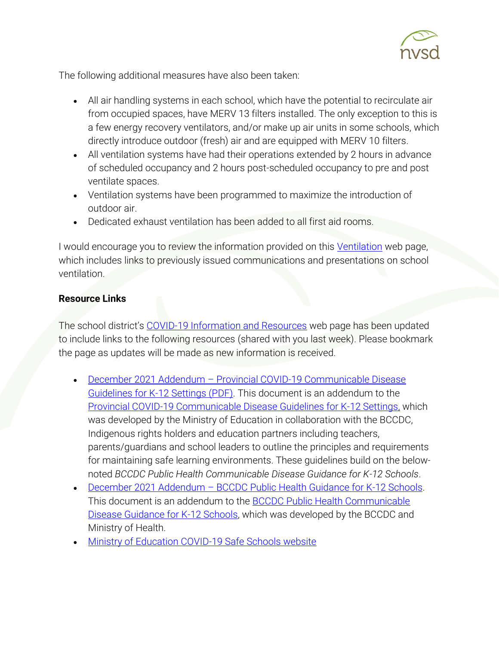

The following additional measures have also been taken:

- All air handling systems in each school, which have the potential to recirculate air from occupied spaces, have MERV 13 filters installed. The only exception to this is a few energy recovery ventilators, and/or make up air units in some schools, which directly introduce outdoor (fresh) air and are equipped with MERV 10 filters.
- All ventilation systems have had their operations extended by 2 hours in advance of scheduled occupancy and 2 hours post-scheduled occupancy to pre and post ventilate spaces.
- Ventilation systems have been programmed to maximize the introduction of outdoor air.
- Dedicated exhaust ventilation has been added to all first aid rooms.

I would encourage you to review the information provided on this [Ventilation](https://www.sd44.ca/COVID-19/ventilation/Pages/default.aspx#/=) web page, which includes links to previously issued communications and presentations on school ventilation.

# **Resource Links**

The school district's [COVID-19 Information and Resources](https://www.sd44.ca/COVID-19/Pages/default.aspx#/=) web page has been updated to include links to the following resources (shared with you last week). Please bookmark the page as updates will be made as new information is received.

- December 2021 Addendum [Provincial COVID-19 Communicable Disease](https://www2.gov.bc.ca/assets/gov/education/administration/kindergarten-to-grade-12/safe-caring-orderly/k-12-covid-19-health-safety-guidelines-addendum.pdf)  [Guidelines for K-12 Settings \(PDF\).](https://www2.gov.bc.ca/assets/gov/education/administration/kindergarten-to-grade-12/safe-caring-orderly/k-12-covid-19-health-safety-guidelines-addendum.pdf) This document is an addendum to the [Provincial COVID-19 Communicable Disease Guidelines for K-12 Settings,](https://www2.gov.bc.ca/assets/gov/education/administration/kindergarten-to-grade-12/safe-caring-orderly/k-12-covid-19-health-safety-guidlines.pdf) which was developed by the Ministry of Education in collaboration with the BCCDC, Indigenous rights holders and education partners including teachers, parents/guardians and school leaders to outline the principles and requirements for maintaining safe learning environments. These guidelines build on the belownoted *BCCDC Public Health Communicable Disease Guidance for K-12 Schools*.
- December 2021 Addendum [BCCDC Public Health Guidance for K-12 Schools.](http://www.bccdc.ca/Health-Info-Site/Documents/COVID_public_guidance/Addendum_K-12Guidance_12292021.pdf) This document is an addendum to the **BCCDC Public Health Communicable** [Disease Guidance for K-12 Schools,](http://www.bccdc.ca/Health-Info-Site/Documents/COVID_public_guidance/Guidance-k-12-schools.pdf) which was developed by the BCCDC and Ministry of Health.
- [Ministry of Education COVID-19 Safe Schools website](https://www2.gov.bc.ca/gov/content/education-training/k-12/covid-19-safe-schools)